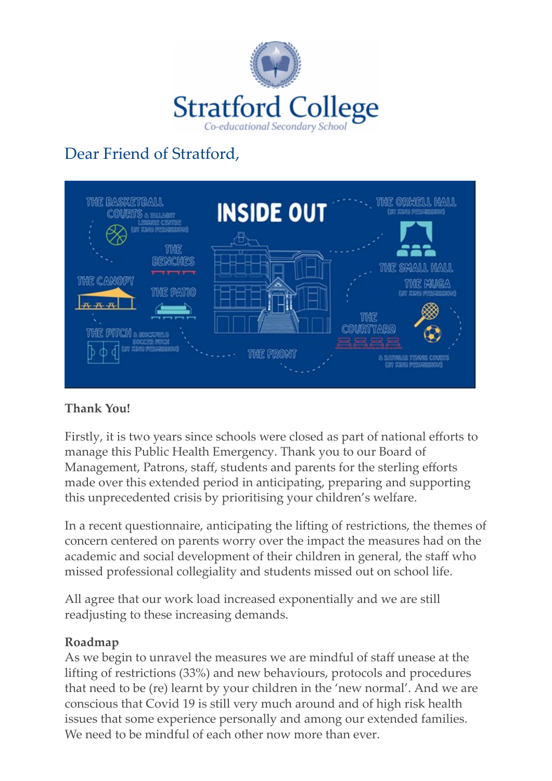

# Dear Friend of Stratford,



#### **Thank You!**

Firstly, it is two years since schools were closed as part of national efforts to manage this Public Health Emergency. Thank you to our Board of Management, Patrons, staff, students and parents for the sterling efforts made over this extended period in anticipating, preparing and supporting this unprecedented crisis by prioritising your children's welfare.

In a recent questionnaire, anticipating the lifting of restrictions, the themes of concern centered on parents worry over the impact the measures had on the academic and social development of their children in general, the staff who missed professional collegiality and students missed out on school life.

All agree that our work load increased exponentially and we are still readjusting to these increasing demands.

#### **Roadmap**

As we begin to unravel the measures we are mindful of staff unease at the lifting of restrictions (33%) and new behaviours, protocols and procedures that need to be (re) learnt by your children in the 'new normal'. And we are conscious that Covid 19 is still very much around and of high risk health issues that some experience personally and among our extended families. We need to be mindful of each other now more than ever.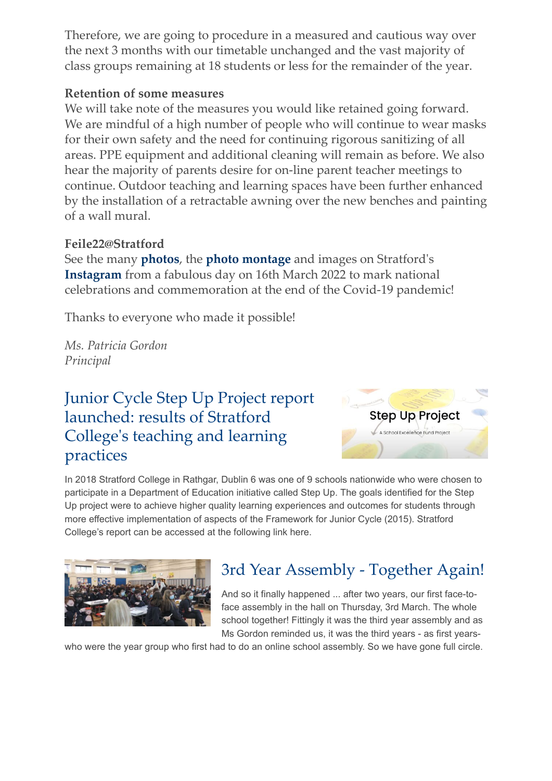Therefore, we are going to procedure in a measured and cautious way over the next 3 months with our timetable unchanged and the vast majority of class groups remaining at 18 students or less for the remainder of the year.

#### **Retention of some measures**

We will take note of the measures you would like retained going forward. We are mindful of a high number of people who will continue to wear masks for their own safety and the need for continuing rigorous sanitizing of all areas. PPE equipment and additional cleaning will remain as before. We also hear the majority of parents desire for on-line parent teacher meetings to continue. Outdoor teaching and learning spaces have been further enhanced by the installation of a retractable awning over the new benches and painting of a wall mural.

#### **Feile22@Stratford**

See the many **[photos](https://newsletters.stratfordcollege.ie/t/y-l-btdhhik-l-q/)**, the **[photo montage](https://newsletters.stratfordcollege.ie/t/y-l-btdhhik-l-a/)** and images on Stratford's **[Instagram](https://newsletters.stratfordcollege.ie/t/y-l-btdhhik-l-f/)** from a fabulous day on 16th March 2022 to mark national celebrations and commemoration at the end of the Covid-19 pandemic!

Thanks to everyone who made it possible!

*Ms. Patricia Gordon Principal*

#### [Junior Cycle Step Up Project report](https://newsletters.stratfordcollege.ie/t/y-l-btdhhik-l-v/) launched: results of Stratford College's teaching and learning practices



In 2018 Stratford College in Rathgar, Dublin 6 was one of 9 schools nationwide who were chosen to participate in a Department of Education initiative called Step Up. The goals identified for the Step Up project were to achieve higher quality learning experiences and outcomes for students through more effective implementation of aspects of the Framework for Junior Cycle (2015). Stratford College's report can be accessed at the following link here.



## [3rd Year Assembly - Together Again!](https://newsletters.stratfordcollege.ie/t/y-l-btdhhik-l-g/)

And so it finally happened ... after two years, our first face-toface assembly in the hall on Thursday, 3rd March. The whole school together! Fittingly it was the third year assembly and as Ms Gordon reminded us, it was the third years - as first years-

who were the year group who first had to do an online school assembly. So we have gone full circle.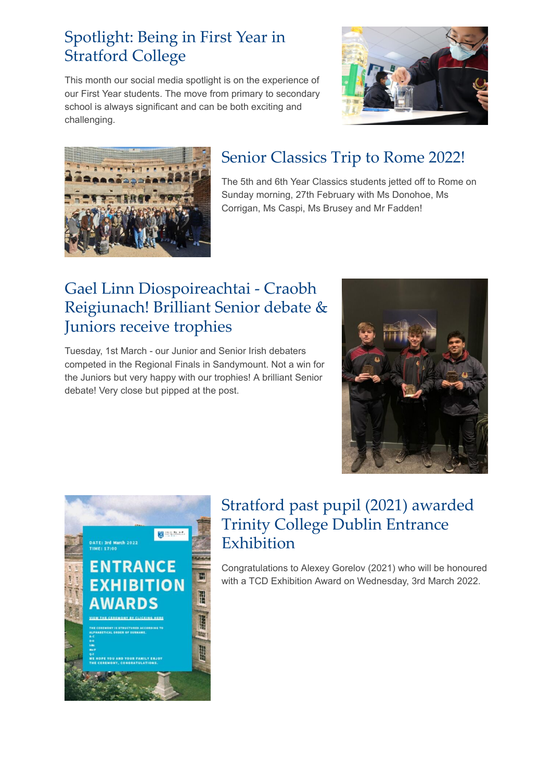### [Spotlight: Being in First Year in](https://newsletters.stratfordcollege.ie/t/y-l-btdhhik-l-yh/) Stratford College

This month our social media spotlight is on the experience of our First Year students. The move from primary to secondary school is always significant and can be both exciting and challenging.





## [Senior Classics Trip to Rome 2022!](https://newsletters.stratfordcollege.ie/t/y-l-btdhhik-l-jl/)

The 5th and 6th Year Classics students jetted off to Rome on Sunday morning, 27th February with Ms Donohoe, Ms Corrigan, Ms Caspi, Ms Brusey and Mr Fadden!

## Gael Linn Diospoireachtai - Craobh [Reigiunach! Brilliant Senior debate &](https://newsletters.stratfordcollege.ie/t/y-l-btdhhik-l-jj/) Juniors receive trophies

Tuesday, 1st March - our Junior and Senior Irish debaters competed in the Regional Finals in Sandymount. Not a win for the Juniors but very happy with our trophies! A brilliant Senior debate! Very close but pipped at the post.





## [Stratford past pupil \(2021\) awarded](https://newsletters.stratfordcollege.ie/t/y-l-btdhhik-l-jd/) Trinity College Dublin Entrance Exhibition

Congratulations to Alexey Gorelov (2021) who will be honoured with a TCD Exhibition Award on Wednesday, 3rd March 2022.